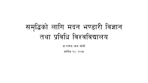# समृद्धिको लागि मदन भण्डारी विज्ञान तथा प्रविधि विश्वविद्यालय

प्रा.राजेन्द्र ध्वज जोशी

कार्तिक १०, २०७५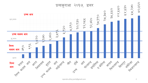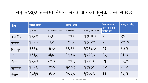| देश      | <u>निम्न आय</u> |                  | उच्च आय |                  | निम्न आयबाट                  | प्रव्यकुराआ वृद्धि, |
|----------|-----------------|------------------|---------|------------------|------------------------------|---------------------|
|          | ई सम्बत         | प्रव्यकुराआ, डलर | ई सम्बत | प्रव्यकुराआ, डलर | उच्च आय पुग्न<br>लागेको वर्ष | गुणा                |
| द.कोरिया | १९७५            | ६५०              | १९९६    | 93080            | २१                           | 20.9                |
| जापान    | १९६३            | 699              | 9559    | १३८२०            | २३                           | 20.0                |
| सिंगापुर | 9559            | QXO              | 9999    | 9२९८०            | २३                           | 99.3                |
| स्पेन    | 9954            | 930              | 9990    | १२२२०            | २५                           | 95.9                |
| ग्रीस    | $ds$ $g$        | ७९०              | 9994    | 92890            | 95                           | 94.9                |
| पोर्चुगल | 9959            | 990              | २००३    | 93230            | 38                           | 95.9                |
| नेपाल    | २०१७            | ७९०              | २०५०    | १२०५६            | ३३                           | 94.3                |

सन् २०५० सम्ममा नेपाल उच्च आयको मुलुक बन्न सक्दछ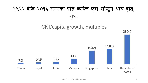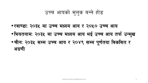### उच्च आयको मुलुक बन्ने होड

- •रवाण्डाः २०३५ मा उच्च मध्यम आय र २०५० उच्च आय
- •भियतनामः २०३५ मा उच्च मध्यम आय भई उच्च आय तर्फ उन्मुख
- •चीन: २०३५ सम्म उच्च आय र २०४९ सम्म पूर्णतया विकसित र अग्रणी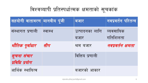## विश्वव्यापी प्रतिस्पर्धात्मक क्षमताको सूचकांक

| सहयोगी वातावरण मानवीय पूंजी   |          | बजार                   | नवप्रवर्तन परितन्त्र  |
|-------------------------------|----------|------------------------|-----------------------|
| संस्थागत प्रणाली              | ास्वास्थ | उत्पादनका लागि<br>बजार | व्यवसायिक<br>गतिशिलता |
| भौतिक पूर्वाधार सीप           |          | श्रम बजार              | नवप्रवर्तन क्षमता     |
| सूचना संचार<br>प्रविधि प्रयोग |          | वित्तिय प्रणाली        |                       |
| आर्थिक स्थायित्व              |          | बजारको आकार            |                       |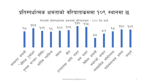## प्रतिस्पर्धात्मक क्षमताको वरियाताकममा १०९ स्थानमा छ

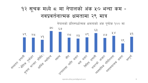## १२ सूचक मध्ये द मा नेपालको अंक ५० भन्दा कम -नवप्रवर्तनात्मक क्षमतामा २९ मात्र

नेपालको प्रतिस्पर्धात्मक क्षमताको अंक पूर्णांक १०० मा

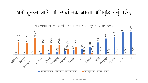## धनी हुनको लागि प्रतिस्पर्धात्मक क्षमता अभिवृद्धि गर्नु पर्दछ

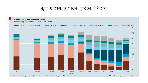कुल ग्राहस्थ उत्पादन बृद्धिको ईतिहास

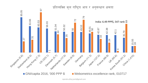

rajendra.dhoj.joshi@gmail.com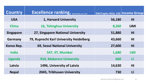| <b>Country</b>   | Excellence ranking, Web Ranking, July 2017 | GNI/Capita 2016, US\$ Income Group |                |
|------------------|--------------------------------------------|------------------------------------|----------------|
| <b>USA</b>       | 1, Harvard University                      | 56,180                             | H <sub>l</sub> |
| <b>China</b>     | 16, Tshinghua University                   | 8,260                              | <b>UMI</b>     |
| <b>Singapore</b> | 27, Singapore National University          | 51,880                             | H <sub>1</sub> |
| <b>Germany</b>   | 79, Ruprecht Karl University Heidelberg    | 43,660                             | H <sub>1</sub> |
| Korea Rep.       | <b>69, Seoul National University</b>       | 27,600                             | H <sub>l</sub> |
| <b>India</b>     | 547, IIT, Mumbai                           | 1,680                              | <b>LMI</b>     |
| <b>Uganda</b>    | <b>910, Makerere University</b>            | 660                                | Ш              |
| Latvia           | 1496, University of Latvia                 | 14,630                             | H <sub>1</sub> |
| <b>Nepal</b>     | <b>2045, Tribhuvan University</b>          | 730                                | $\mathsf{L}$   |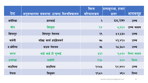|          |                                           | विश्व        | प्रव्यकुराआ, हजार |             |
|----------|-------------------------------------------|--------------|-------------------|-------------|
| देश      | अनुसन्धानमा सबभन्दा उत्कष्ट विश्वविद्यालय | वरियाताकम    | डलर               | आयसमूह      |
| अमेरिका  | हारभार्ड                                  | $\mathbf{q}$ | ४८,२७०            | उच्च        |
| चीन      | सिन्हुवा                                  | 98           | 5,550             | उच्च मध्यम  |
| सिंगापुर | सिंगापुर नेशनल                            | २९           | ४४,५३०            | उच्च        |
| जर्मनी   | रुप्रेख्ट कार्ल हाईडेलवर्ग                | 95           | 83,880            | उच्च        |
| द.कोरिया | सउल नेशनल                                 | ७५           | २८,३८०            | उच्च        |
| भारत     | आई आई टी मुम्बई                           | ५६२          | 9,520             | निम्न मध्यम |
| उगाण्डा  | माकेरेरे                                  | ९२८          | 600               | निम्न       |
| लाटभिया  | लाटभिया                                   | १४८५         | 98,980            | उच्च        |
| नेपाल    | त्रिभुवन                                  | 9950         | 1990              | निम्न       |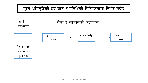#### मूल्य अभिवृद्धिको हद ज्ञान र प्रविधिको विशिष्टतामा निर्भर गर्दछ

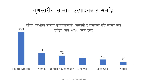

दैनिक उपभोग्य सामान उत्पादकहरुको आम्दानी र नेपालको प्रति व्यक्ति कुल 253 राष्ट्रिय आय २०१६, अरब डलर 91 72 53 41 21 **Toyota Motors** Johnson & Johnson Coca Cola **Nestle** Uniliver **Nepal**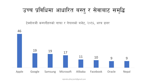## उच्च प्रविधिमा आधारित बस्तु र सेवाबाट समृद्धि

टेक्नोलजी कम्पनीहरुको नाफा र नेपालको बजेट, २०१६, अरब डलर



rajendra.dhoj.joshi@gmail.com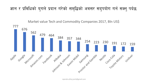ज्ञान र प्रविधिको युगले प्रदान गरेको समृद्धिको अवसर सदुपयोग गर्न सक्नु पर्दछ

Market value Tech and Commodity Companies 2017, Bln US\$

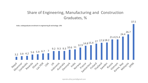#### Share of Engineering, Manufacturing and Construction Graduates, %



rajendra.dhoj.joshi@gmail.com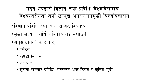- सूचना सञ्चार प्रविधि -इन्टरनेट अफ ठिंगुस र कृत्रिम बुद्धी
- ∙ जलश्रोत
- पहाडी विकास
- ∙ पर्यटन
- •अनुसन्धानको केन्द्रविन्द्
- •मुख्य लक्ष्य : आर्थिक विकासलाई सघाउने
- •विज्ञान प्रविधि तथा अन्य सम्बद्घ विधाहरु
- मदन भण्डारी विज्ञान तथा प्रविधि विश्वविद्यालय : विश्वस्तरीयता तर्फ उन्मुख अनुसन्धानमूखी विश्वविद्यालय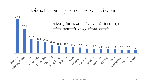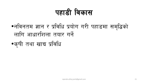## पहाडी विकास

- •नविनतम ज्ञान र प्रविधि प्रयोग गरी पहाडमा समृद्धिको लागि आधारशिला तयार गर्ने
- •कृषी तथा खाद्य प्रविधि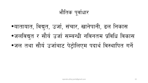•यातायात, विद्युत, उर्जा, संचार, खानेपानी, ढल निकास •जलविद्युत र सौर्य उर्जा सम्बन्धी नविनतम प्रविधि विकास •जल तथा सौर्य उर्जाबाट पेट्रोलिएम पदार्थ विस्थापित गर्ने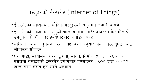## वस्तुहरुको ईन्टरनेट (Internet of Things)

- •ईन्टरनेटको माध्यमबाट भौतिक वस्तुहरुको अनुगमन तथा नियन्त्रण
- इन्टरनेटको माध्यमबाट मुटुको चाल अनुगमन गरेर डाक्टरले बिरामीलाई उपयुक्त औषधी दिएर हृदयघाटबाट बचाउन सक्छ
- मेशिनको चाल अनुगमन गरेर आवश्यकता अनुसार मर्मत गरेर दुर्घटनाबाट जोगाउन सकिन्छ
- घर, गाडी, कार्यालय, शहर, ढ्वानी, मानव, निर्माण स्थल, कारखाना र पसलमा वस्तुहरुको ईन्टरनेट प्रयोगबाट यूएसडलर ३,९०० देखि ११,१०० खरब सम्म बचत हन सक्ने अनुमान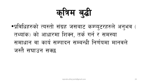कविम बुद्धी

•प्रविधिहरुको त्यस्तो संग्रह जसबाट कम्प्युटरहरुले अनुभव ( तथ्यांक) को आधारमा शिक्न, तर्क गर्न र समस्या समाधान वा कार्य सम्पादन सम्बन्धी निर्णयमा मानवले जस्तै सघाउन सक्छ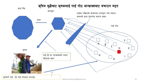